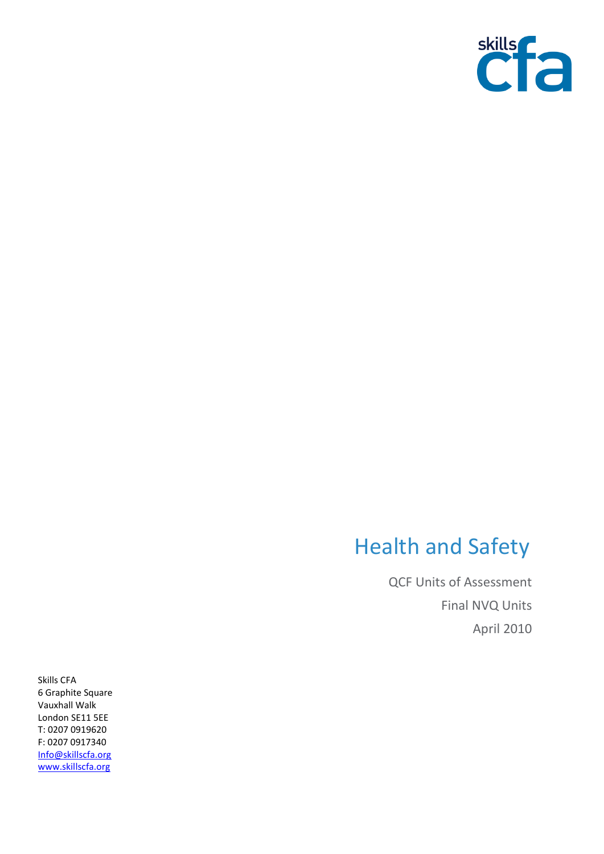

## Health and Safety

QCF Units of Assessment Final NVQ Units April 2010

Skills CFA 6 Graphite Square Vauxhall Walk London SE11 5EE T: 0207 0919620 F: 0207 0917340 [Info@skillscfa.org](mailto:Info@skillscfa.org) [www.skillscfa.org](http://www.skillscfa.org/)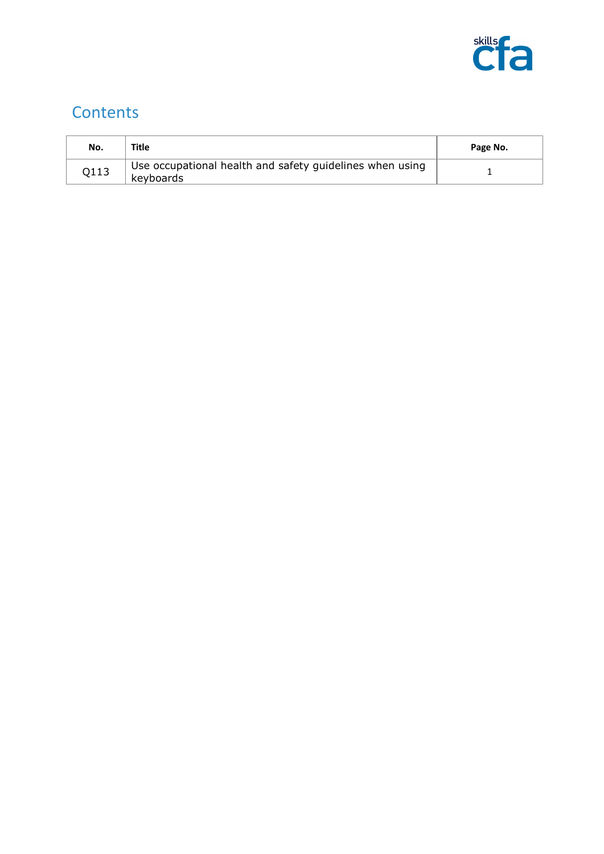

## **Contents**

| No.  | Title                                                                 | Page No. |
|------|-----------------------------------------------------------------------|----------|
| Q113 | Use occupational health and safety guidelines when using<br>keyboards |          |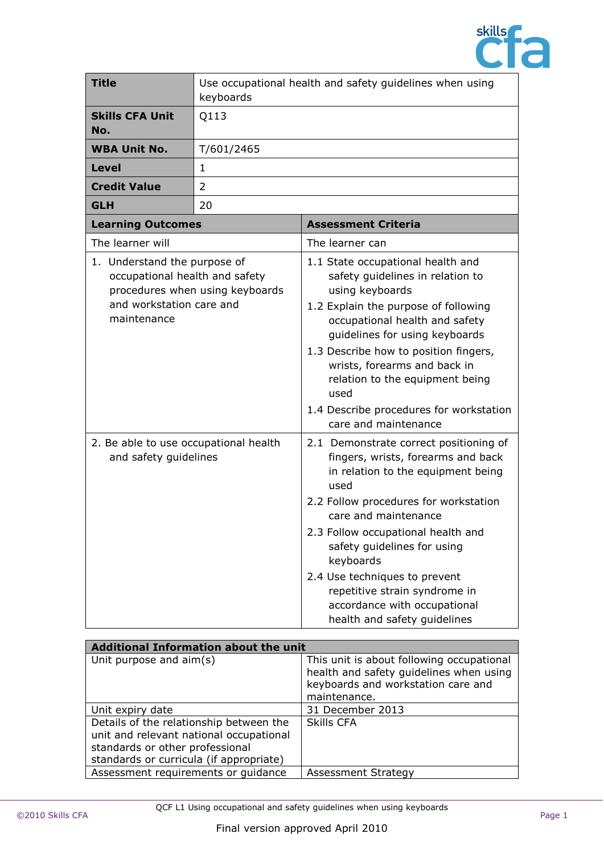

| <b>Title</b>                                                                                                                                 | keyboards  | Use occupational health and safety guidelines when using                                                                                                                                                                                                                                                                                                                                                        |  |
|----------------------------------------------------------------------------------------------------------------------------------------------|------------|-----------------------------------------------------------------------------------------------------------------------------------------------------------------------------------------------------------------------------------------------------------------------------------------------------------------------------------------------------------------------------------------------------------------|--|
| <b>Skills CFA Unit</b><br>No.                                                                                                                | Q113       |                                                                                                                                                                                                                                                                                                                                                                                                                 |  |
| <b>WBA Unit No.</b>                                                                                                                          | T/601/2465 |                                                                                                                                                                                                                                                                                                                                                                                                                 |  |
| <b>Level</b>                                                                                                                                 | 1.         |                                                                                                                                                                                                                                                                                                                                                                                                                 |  |
| <b>Credit Value</b>                                                                                                                          | 2          |                                                                                                                                                                                                                                                                                                                                                                                                                 |  |
| <b>GLH</b>                                                                                                                                   | 20         |                                                                                                                                                                                                                                                                                                                                                                                                                 |  |
| <b>Learning Outcomes</b>                                                                                                                     |            | <b>Assessment Criteria</b>                                                                                                                                                                                                                                                                                                                                                                                      |  |
| The learner will                                                                                                                             |            | The learner can                                                                                                                                                                                                                                                                                                                                                                                                 |  |
| 1. Understand the purpose of<br>occupational health and safety<br>procedures when using keyboards<br>and workstation care and<br>maintenance |            | 1.1 State occupational health and<br>safety guidelines in relation to<br>using keyboards<br>1.2 Explain the purpose of following<br>occupational health and safety<br>guidelines for using keyboards<br>1.3 Describe how to position fingers,<br>wrists, forearms and back in<br>relation to the equipment being<br>used<br>1.4 Describe procedures for workstation<br>care and maintenance                     |  |
| 2. Be able to use occupational health<br>and safety guidelines                                                                               |            | 2.1 Demonstrate correct positioning of<br>fingers, wrists, forearms and back<br>in relation to the equipment being<br>used<br>2.2 Follow procedures for workstation<br>care and maintenance<br>2.3 Follow occupational health and<br>safety guidelines for using<br>keyboards<br>2.4 Use techniques to prevent<br>repetitive strain syndrome in<br>accordance with occupational<br>health and safety guidelines |  |

| <b>Additional Information about the unit</b>                                                                                                                     |                                                                                                                                            |  |  |
|------------------------------------------------------------------------------------------------------------------------------------------------------------------|--------------------------------------------------------------------------------------------------------------------------------------------|--|--|
| Unit purpose and aim(s)                                                                                                                                          | This unit is about following occupational<br>health and safety guidelines when using<br>keyboards and workstation care and<br>maintenance. |  |  |
| Unit expiry date                                                                                                                                                 | 31 December 2013                                                                                                                           |  |  |
| Details of the relationship between the<br>unit and relevant national occupational<br>standards or other professional<br>standards or curricula (if appropriate) | <b>Skills CFA</b>                                                                                                                          |  |  |
| Assessment requirements or guidance                                                                                                                              | <b>Assessment Strategy</b>                                                                                                                 |  |  |